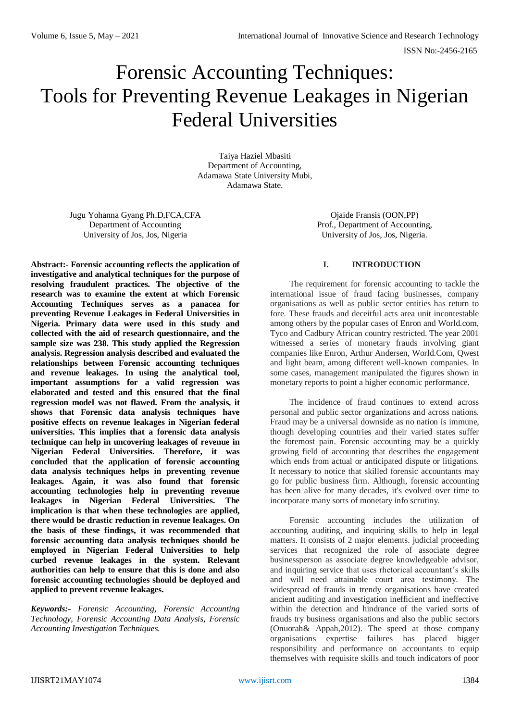# Forensic Accounting Techniques: Tools for Preventing Revenue Leakages in Nigerian Federal Universities

Taiya Haziel Mbasiti Department of Accounting, Adamawa State University Mubi, Adamawa State.

Jugu Yohanna Gyang Ph.D,FCA,CFA Department of Accounting University of Jos, Jos, Nigeria

**Abstract:- Forensic accounting reflects the application of** 

Ojaide Fransis (OON,PP) Prof., Department of Accounting, University of Jos, Jos, Nigeria.

# **investigative and analytical techniques for the purpose of resolving fraudulent practices. The objective of the research was to examine the extent at which Forensic Accounting Techniques serves as a panacea for preventing Revenue Leakages in Federal Universities in Nigeria. Primary data were used in this study and collected with the aid of research questionnaire, and the sample size was 238. This study applied the Regression analysis. Regression analysis described and evaluated the relationships between Forensic accounting techniques and revenue leakages. In using the analytical tool, important assumptions for a valid regression was elaborated and tested and this ensured that the final regression model was not flawed. From the analysis, it shows that Forensic data analysis techniques have positive effects on revenue leakages in Nigerian federal universities. This implies that a forensic data analysis technique can help in uncovering leakages of revenue in Nigerian Federal Universities. Therefore, it was concluded that the application of forensic accounting data analysis techniques helps in preventing revenue leakages. Again, it was also found that forensic accounting technologies help in preventing revenue leakages in Nigerian Federal Universities. The implication is that when these technologies are applied, there would be drastic reduction in revenue leakages. On the basis of these findings, it was recommended that forensic accounting data analysis techniques should be employed in Nigerian Federal Universities to help curbed revenue leakages in the system. Relevant authorities can help to ensure that this is done and also forensic accounting technologies should be deployed and applied to prevent revenue leakages.**

*Keywords:- Forensic Accounting, Forensic Accounting Technology, Forensic Accounting Data Analysis, Forensic Accounting Investigation Techniques.*

# **I. INTRODUCTION**

The requirement for forensic accounting to tackle the international issue of fraud facing businesses, company organisations as well as public sector entities has return to fore. These frauds and deceitful acts area unit incontestable among others by the popular cases of Enron and World.com, Tyco and Cadbury African country restricted. The year 2001 witnessed a series of monetary frauds involving giant companies like Enron, Arthur Andersen, World.Com, Qwest and light beam, among different well-known companies. In some cases, management manipulated the figures shown in monetary reports to point a higher economic performance.

The incidence of fraud continues to extend across personal and public sector organizations and across nations. Fraud may be a universal downside as no nation is immune, though developing countries and their varied states suffer the foremost pain. Forensic accounting may be a quickly growing field of accounting that describes the engagement which ends from actual or anticipated dispute or litigations. It necessary to notice that skilled forensic accountants may go for public business firm. Although, forensic accounting has been alive for many decades, it's evolved over time to incorporate many sorts of monetary info scrutiny.

Forensic accounting includes the utilization of accounting auditing, and inquiring skills to help in legal matters. It consists of 2 major elements. judicial proceeding services that recognized the role of associate degree businessperson as associate degree knowledgeable advisor, and inquiring service that uses rhetorical accountant's skills and will need attainable court area testimony. The widespread of frauds in trendy organisations have created ancient auditing and investigation inefficient and ineffective within the detection and hindrance of the varied sorts of frauds try business organisations and also the public sectors (Onuorah& Appah,2012). The speed at those company organisations expertise failures has placed bigger responsibility and performance on accountants to equip themselves with requisite skills and touch indicators of poor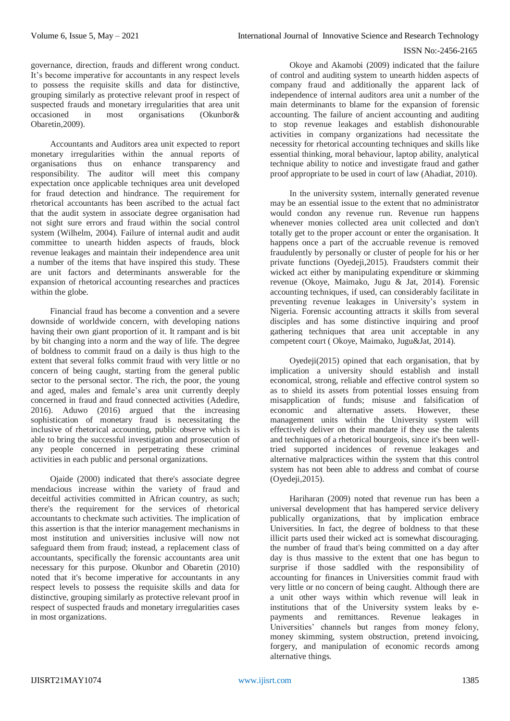governance, direction, frauds and different wrong conduct. It's become imperative for accountants in any respect levels to possess the requisite skills and data for distinctive, grouping similarly as protective relevant proof in respect of suspected frauds and monetary irregularities that area unit occasioned in most organisations (Okunbor& Obaretin,2009).

Accountants and Auditors area unit expected to report monetary irregularities within the annual reports of organisations thus on enhance transparency and responsibility. The auditor will meet this company expectation once applicable techniques area unit developed for fraud detection and hindrance. The requirement for rhetorical accountants has been ascribed to the actual fact that the audit system in associate degree organisation had not sight sure errors and fraud within the social control system (Wilhelm, 2004). Failure of internal audit and audit committee to unearth hidden aspects of frauds, block revenue leakages and maintain their independence area unit a number of the items that have inspired this study. These are unit factors and determinants answerable for the expansion of rhetorical accounting researches and practices within the globe.

Financial fraud has become a convention and a severe downside of worldwide concern, with developing nations having their own giant proportion of it. It rampant and is bit by bit changing into a norm and the way of life. The degree of boldness to commit fraud on a daily is thus high to the extent that several folks commit fraud with very little or no concern of being caught, starting from the general public sector to the personal sector. The rich, the poor, the young and aged, males and female's area unit currently deeply concerned in fraud and fraud connected activities (Adedire, 2016). Aduwo (2016) argued that the increasing sophistication of monetary fraud is necessitating the inclusive of rhetorical accounting, public observe which is able to bring the successful investigation and prosecution of any people concerned in perpetrating these criminal activities in each public and personal organizations.

Ojaide (2000) indicated that there's associate degree mendacious increase within the variety of fraud and deceitful activities committed in African country, as such; there's the requirement for the services of rhetorical accountants to checkmate such activities. The implication of this assertion is that the interior management mechanisms in most institution and universities inclusive will now not safeguard them from fraud; instead, a replacement class of accountants, specifically the forensic accountants area unit necessary for this purpose. Okunbor and Obaretin (2010) noted that it's become imperative for accountants in any respect levels to possess the requisite skills and data for distinctive, grouping similarly as protective relevant proof in respect of suspected frauds and monetary irregularities cases in most organizations.

Okoye and Akamobi (2009) indicated that the failure of control and auditing system to unearth hidden aspects of company fraud and additionally the apparent lack of independence of internal auditors area unit a number of the main determinants to blame for the expansion of forensic accounting. The failure of ancient accounting and auditing to stop revenue leakages and establish dishonourable activities in company organizations had necessitate the necessity for rhetorical accounting techniques and skills like essential thinking, moral behaviour, laptop ability, analytical technique ability to notice and investigate fraud and gather proof appropriate to be used in court of law (Ahadiat, 2010).

In the university system, internally generated revenue may be an essential issue to the extent that no administrator would condon any revenue run. Revenue run happens whenever monies collected area unit collected and don't totally get to the proper account or enter the organisation. It happens once a part of the accruable revenue is removed fraudulently by personally or cluster of people for his or her private functions (Oyedeji,2015). Fraudsters commit their wicked act either by manipulating expenditure or skimming revenue (Okoye, Maimako, Jugu & Jat, 2014). Forensic accounting techniques, if used, can considerably facilitate in preventing revenue leakages in University's system in Nigeria. Forensic accounting attracts it skills from several disciples and has some distinctive inquiring and proof gathering techniques that area unit acceptable in any competent court ( Okoye, Maimako, Jugu&Jat, 2014).

Oyedeji(2015) opined that each organisation, that by implication a university should establish and install economical, strong, reliable and effective control system so as to shield its assets from potential losses ensuing from misapplication of funds; misuse and falsification of economic and alternative assets. However, these management units within the University system will effectively deliver on their mandate if they use the talents and techniques of a rhetorical bourgeois, since it's been welltried supported incidences of revenue leakages and alternative malpractices within the system that this control system has not been able to address and combat of course (Oyedeji,2015).

Hariharan (2009) noted that revenue run has been a universal development that has hampered service delivery publically organizations, that by implication embrace Universities. In fact, the degree of boldness to that these illicit parts used their wicked act is somewhat discouraging. the number of fraud that's being committed on a day after day is thus massive to the extent that one has begun to surprise if those saddled with the responsibility of accounting for finances in Universities commit fraud with very little or no concern of being caught. Although there are a unit other ways within which revenue will leak in institutions that of the University system leaks by epayments and remittances. Revenue leakages in Universities' channels but ranges from money felony, money skimming, system obstruction, pretend invoicing, forgery, and manipulation of economic records among alternative things.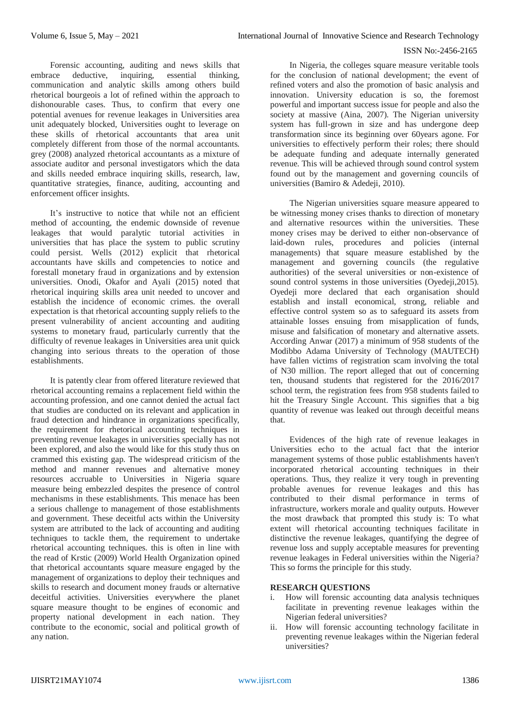Forensic accounting, auditing and news skills that embrace deductive, inquiring, essential thinking, communication and analytic skills among others build rhetorical bourgeois a lot of refined within the approach to dishonourable cases. Thus, to confirm that every one potential avenues for revenue leakages in Universities area unit adequately blocked, Universities ought to leverage on these skills of rhetorical accountants that area unit completely different from those of the normal accountants. grey (2008) analyzed rhetorical accountants as a mixture of associate auditor and personal investigators which the data and skills needed embrace inquiring skills, research, law, quantitative strategies, finance, auditing, accounting and enforcement officer insights.

It's instructive to notice that while not an efficient method of accounting, the endemic downside of revenue leakages that would paralytic tutorial activities in universities that has place the system to public scrutiny could persist. Wells (2012) explicit that rhetorical accountants have skills and competencies to notice and forestall monetary fraud in organizations and by extension universities. Onodi, Okafor and Ayali (2015) noted that rhetorical inquiring skills area unit needed to uncover and establish the incidence of economic crimes. the overall expectation is that rhetorical accounting supply reliefs to the present vulnerability of ancient accounting and auditing systems to monetary fraud, particularly currently that the difficulty of revenue leakages in Universities area unit quick changing into serious threats to the operation of those establishments.

It is patently clear from offered literature reviewed that rhetorical accounting remains a replacement field within the accounting profession, and one cannot denied the actual fact that studies are conducted on its relevant and application in fraud detection and hindrance in organizations specifically, the requirement for rhetorical accounting techniques in preventing revenue leakages in universities specially has not been explored, and also the would like for this study thus on crammed this existing gap. The widespread criticism of the method and manner revenues and alternative money resources accruable to Universities in Nigeria square measure being embezzled despites the presence of control mechanisms in these establishments. This menace has been a serious challenge to management of those establishments and government. These deceitful acts within the University system are attributed to the lack of accounting and auditing techniques to tackle them, the requirement to undertake rhetorical accounting techniques. this is often in line with the read of Krstic (2009) World Health Organization opined that rhetorical accountants square measure engaged by the management of organizations to deploy their techniques and skills to research and document money frauds or alternative deceitful activities. Universities everywhere the planet square measure thought to be engines of economic and property national development in each nation. They contribute to the economic, social and political growth of any nation.

In Nigeria, the colleges square measure veritable tools for the conclusion of national development; the event of refined voters and also the promotion of basic analysis and innovation. University education is so, the foremost powerful and important success issue for people and also the society at massive (Aina, 2007). The Nigerian university system has full-grown in size and has undergone deep transformation since its beginning over 60years agone. For universities to effectively perform their roles; there should be adequate funding and adequate internally generated revenue. This will be achieved through sound control system found out by the management and governing councils of universities (Bamiro & Adedeji, 2010).

The Nigerian universities square measure appeared to be witnessing money crises thanks to direction of monetary and alternative resources within the universities. These money crises may be derived to either non-observance of laid-down rules, procedures and policies (internal managements) that square measure established by the management and governing councils (the regulative authorities) of the several universities or non-existence of sound control systems in those universities (Oyedeji, 2015). Oyedeji more declared that each organisation should establish and install economical, strong, reliable and effective control system so as to safeguard its assets from attainable losses ensuing from misapplication of funds, misuse and falsification of monetary and alternative assets. According Anwar (2017) a minimum of 958 students of the Modibbo Adama University of Technology (MAUTECH) have fallen victims of registration scam involving the total of N30 million. The report alleged that out of concerning ten, thousand students that registered for the  $2016/2017$ school term, the registration fees from 958 students failed to hit the Treasury Single Account. This signifies that a big quantity of revenue was leaked out through deceitful means that.

Evidences of the high rate of revenue leakages in Universities echo to the actual fact that the interior management systems of those public establishments haven't incorporated rhetorical accounting techniques in their operations. Thus, they realize it very tough in preventing probable avenues for revenue leakages and this has contributed to their dismal performance in terms of infrastructure, workers morale and quality outputs. However the most drawback that prompted this study is: To what extent will rhetorical accounting techniques facilitate in distinctive the revenue leakages, quantifying the degree of revenue loss and supply acceptable measures for preventing revenue leakages in Federal universities within the Nigeria? This so forms the principle for this study.

# **RESEARCH QUESTIONS**

- i. How will forensic accounting data analysis techniques facilitate in preventing revenue leakages within the Nigerian federal universities?
- ii. How will forensic accounting technology facilitate in preventing revenue leakages within the Nigerian federal universities?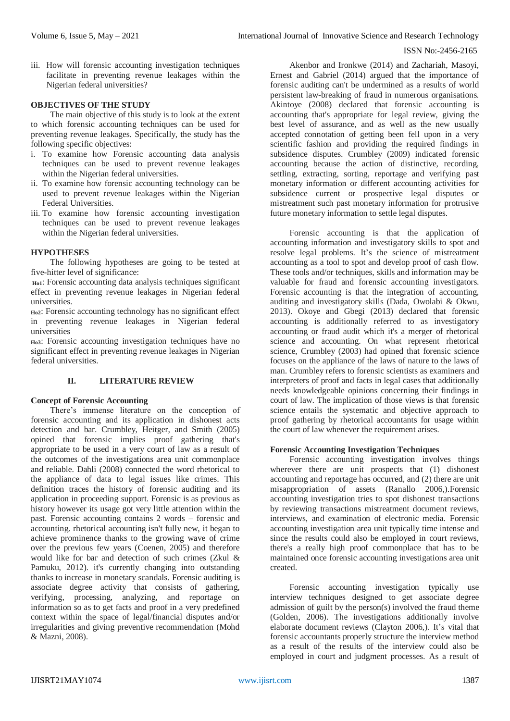iii. How will forensic accounting investigation techniques facilitate in preventing revenue leakages within the Nigerian federal universities?

# **OBJECTIVES OF THE STUDY**

The main objective of this study is to look at the extent to which forensic accounting techniques can be used for preventing revenue leakages. Specifically, the study has the following specific objectives:

- i. To examine how Forensic accounting data analysis techniques can be used to prevent revenue leakages within the Nigerian federal universities.
- ii. To examine how forensic accounting technology can be used to prevent revenue leakages within the Nigerian Federal Universities.
- iii. To examine how forensic accounting investigation techniques can be used to prevent revenue leakages within the Nigerian federal universities.

# **HYPOTHESES**

The following hypotheses are going to be tested at five-hitter level of significance:

**Ho1**: Forensic accounting data analysis techniques significant effect in preventing revenue leakages in Nigerian federal universities.

**Ho2**: Forensic accounting technology has no significant effect in preventing revenue leakages in Nigerian federal universities

**Ho3**: Forensic accounting investigation techniques have no significant effect in preventing revenue leakages in Nigerian federal universities.

# **II. LITERATURE REVIEW**

## **Concept of Forensic Accounting**

There's immense literature on the conception of forensic accounting and its application in dishonest acts detection and bar. Crumbley, Heitger, and Smith (2005) opined that forensic implies proof gathering that's appropriate to be used in a very court of law as a result of the outcomes of the investigations area unit commonplace and reliable. Dahli (2008) connected the word rhetorical to the appliance of data to legal issues like crimes. This definition traces the history of forensic auditing and its application in proceeding support. Forensic is as previous as history however its usage got very little attention within the past. Forensic accounting contains 2 words – forensic and accounting. rhetorical accounting isn't fully new, it began to achieve prominence thanks to the growing wave of crime over the previous few years (Coenen, 2005) and therefore would like for bar and detection of such crimes (Zkul & Pamuku, 2012). it's currently changing into outstanding thanks to increase in monetary scandals. Forensic auditing is associate degree activity that consists of gathering, verifying, processing, analyzing, and reportage on information so as to get facts and proof in a very predefined context within the space of legal/financial disputes and/or irregularities and giving preventive recommendation (Mohd & Mazni, 2008).

Akenbor and Ironkwe (2014) and Zachariah, Masoyi, Ernest and Gabriel (2014) argued that the importance of forensic auditing can't be undermined as a results of world persistent law-breaking of fraud in numerous organisations. Akintoye (2008) declared that forensic accounting is accounting that's appropriate for legal review, giving the best level of assurance, and as well as the new usually accepted connotation of getting been fell upon in a very scientific fashion and providing the required findings in subsidence disputes. Crumbley (2009) indicated forensic accounting because the action of distinctive, recording, settling, extracting, sorting, reportage and verifying past monetary information or different accounting activities for subsidence current or prospective legal disputes or mistreatment such past monetary information for protrusive future monetary information to settle legal disputes.

Forensic accounting is that the application of accounting information and investigatory skills to spot and resolve legal problems. It's the science of mistreatment accounting as a tool to spot and develop proof of cash flow. These tools and/or techniques, skills and information may be valuable for fraud and forensic accounting investigators. Forensic accounting is that the integration of accounting, auditing and investigatory skills (Dada, Owolabi & Okwu, 2013). Okoye and Gbegi (2013) declared that forensic accounting is additionally referred to as investigatory accounting or fraud audit which it's a merger of rhetorical science and accounting. On what represent rhetorical science, Crumbley (2003) had opined that forensic science focuses on the appliance of the laws of nature to the laws of man. Crumbley refers to forensic scientists as examiners and interpreters of proof and facts in legal cases that additionally needs knowledgeable opinions concerning their findings in court of law. The implication of those views is that forensic science entails the systematic and objective approach to proof gathering by rhetorical accountants for usage within the court of law whenever the requirement arises.

### **Forensic Accounting Investigation Techniques**

Forensic accounting investigation involves things wherever there are unit prospects that (1) dishonest accounting and reportage has occurred, and (2) there are unit misappropriation of assets (Ranallo 2006,).Forensic accounting investigation tries to spot dishonest transactions by reviewing transactions mistreatment document reviews, interviews, and examination of electronic media. Forensic accounting investigation area unit typically time intense and since the results could also be employed in court reviews, there's a really high proof commonplace that has to be maintained once forensic accounting investigations area unit created.

Forensic accounting investigation typically use interview techniques designed to get associate degree admission of guilt by the person(s) involved the fraud theme (Golden, 2006). The investigations additionally involve elaborate document reviews (Clayton 2006,). It's vital that forensic accountants properly structure the interview method as a result of the results of the interview could also be employed in court and judgment processes. As a result of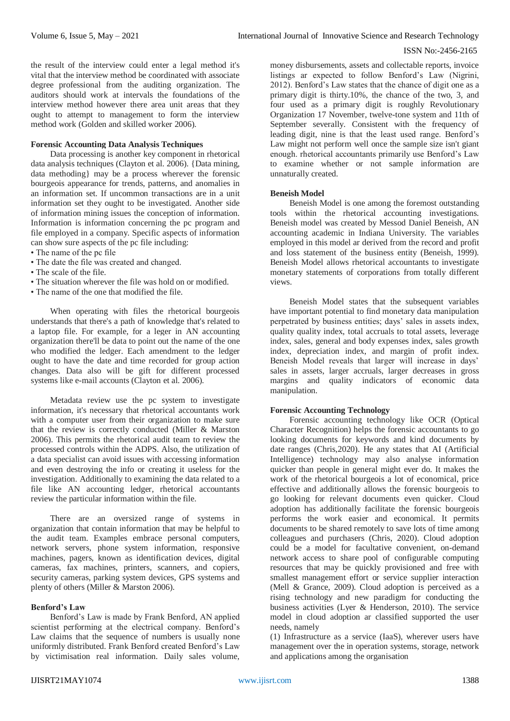the result of the interview could enter a legal method it's vital that the interview method be coordinated with associate degree professional from the auditing organization. The auditors should work at intervals the foundations of the interview method however there area unit areas that they ought to attempt to management to form the interview method work (Golden and skilled worker 2006).

# **Forensic Accounting Data Analysis Techniques**

Data processing is another key component in rhetorical data analysis techniques (Clayton et al. 2006). {Data mining, data methoding} may be a process wherever the forensic bourgeois appearance for trends, patterns, and anomalies in an information set. If uncommon transactions are in a unit information set they ought to be investigated. Another side of information mining issues the conception of information. Information is information concerning the pc program and file employed in a company. Specific aspects of information can show sure aspects of the pc file including:

- The name of the pc file
- The date the file was created and changed.
- The scale of the file.
- The situation wherever the file was hold on or modified.
- The name of the one that modified the file.

When operating with files the rhetorical bourgeois understands that there's a path of knowledge that's related to a laptop file. For example, for a leger in AN accounting organization there'll be data to point out the name of the one who modified the ledger. Each amendment to the ledger ought to have the date and time recorded for group action changes. Data also will be gift for different processed systems like e-mail accounts (Clayton et al. 2006).

Metadata review use the pc system to investigate information, it's necessary that rhetorical accountants work with a computer user from their organization to make sure that the review is correctly conducted (Miller & Marston 2006). This permits the rhetorical audit team to review the processed controls within the ADPS. Also, the utilization of a data specialist can avoid issues with accessing information and even destroying the info or creating it useless for the investigation. Additionally to examining the data related to a file like AN accounting ledger, rhetorical accountants review the particular information within the file.

There are an oversized range of systems in organization that contain information that may be helpful to the audit team. Examples embrace personal computers, network servers, phone system information, responsive machines, pagers, known as identification devices, digital cameras, fax machines, printers, scanners, and copiers, security cameras, parking system devices, GPS systems and plenty of others (Miller & Marston 2006).

#### **Benford's Law**

Benford's Law is made by Frank Benford, AN applied scientist performing at the electrical company. Benford's Law claims that the sequence of numbers is usually none uniformly distributed. Frank Benford created Benford's Law by victimisation real information. Daily sales volume,

money disbursements, assets and collectable reports, invoice listings ar expected to follow Benford's Law (Nigrini, 2012). Benford's Law states that the chance of digit one as a primary digit is thirty.10%, the chance of the two, 3, and four used as a primary digit is roughly Revolutionary Organization 17 November, twelve-tone system and 11th of September severally. Consistent with the frequency of leading digit, nine is that the least used range. Benford's Law might not perform well once the sample size isn't giant enough. rhetorical accountants primarily use Benford's Law to examine whether or not sample information are unnaturally created.

#### **Beneish Model**

Beneish Model is one among the foremost outstanding tools within the rhetorical accounting investigations. Beneish model was created by Messod Daniel Beneish, AN accounting academic in Indiana University. The variables employed in this model ar derived from the record and profit and loss statement of the business entity (Beneish, 1999). Beneish Model allows rhetorical accountants to investigate monetary statements of corporations from totally different views.

Beneish Model states that the subsequent variables have important potential to find monetary data manipulation perpetrated by business entities; days' sales in assets index, quality quality index, total accruals to total assets, leverage index, sales, general and body expenses index, sales growth index, depreciation index, and margin of profit index. Beneish Model reveals that larger will increase in days' sales in assets, larger accruals, larger decreases in gross margins and quality indicators of economic data manipulation.

#### **Forensic Accounting Technology**

Forensic accounting technology like OCR (Optical Character Recognition) helps the forensic accountants to go looking documents for keywords and kind documents by date ranges (Chris,2020). He any states that AI (Artificial Intelligence) technology may also analyse information quicker than people in general might ever do. It makes the work of the rhetorical bourgeois a lot of economical, price effective and additionally allows the forensic bourgeois to go looking for relevant documents even quicker. Cloud adoption has additionally facilitate the forensic bourgeois performs the work easier and economical. It permits documents to be shared remotely to save lots of time among colleagues and purchasers (Chris, 2020). Cloud adoption could be a model for facultative convenient, on-demand network access to share pool of configurable computing resources that may be quickly provisioned and free with smallest management effort or service supplier interaction (Mell & Grance, 2009). Cloud adoption is perceived as a rising technology and new paradigm for conducting the business activities (Lyer & Henderson, 2010). The service model in cloud adoption ar classified supported the user needs, namely

(1) Infrastructure as a service (IaaS), wherever users have management over the in operation systems, storage, network and applications among the organisation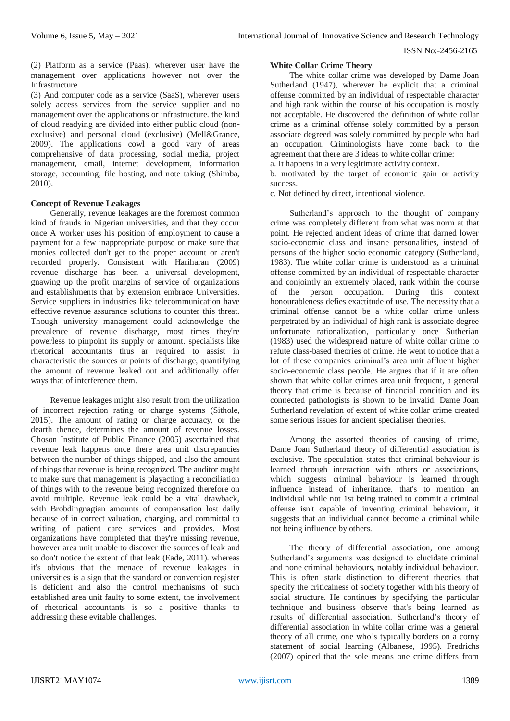(2) Platform as a service (Paas), wherever user have the management over applications however not over the Infrastructure

(3) And computer code as a service (SaaS), wherever users solely access services from the service supplier and no management over the applications or infrastructure. the kind of cloud readying are divided into either public cloud (nonexclusive) and personal cloud (exclusive) (Mell&Grance, 2009). The applications cowl a good vary of areas comprehensive of data processing, social media, project management, email, internet development, information storage, accounting, file hosting, and note taking (Shimba, 2010).

# **Concept of Revenue Leakages**

Generally, revenue leakages are the foremost common kind of frauds in Nigerian universities, and that they occur once A worker uses his position of employment to cause a payment for a few inappropriate purpose or make sure that monies collected don't get to the proper account or aren't recorded properly. Consistent with Hariharan (2009) revenue discharge has been a universal development, gnawing up the profit margins of service of organizations and establishments that by extension embrace Universities. Service suppliers in industries like telecommunication have effective revenue assurance solutions to counter this threat. Though university management could acknowledge the prevalence of revenue discharge, most times they're powerless to pinpoint its supply or amount. specialists like rhetorical accountants thus ar required to assist in characteristic the sources or points of discharge, quantifying the amount of revenue leaked out and additionally offer ways that of interference them.

Revenue leakages might also result from the utilization of incorrect rejection rating or charge systems (Sithole, 2015). The amount of rating or charge accuracy, or the dearth thence, determines the amount of revenue losses. Choson Institute of Public Finance (2005) ascertained that revenue leak happens once there area unit discrepancies between the number of things shipped, and also the amount of things that revenue is being recognized. The auditor ought to make sure that management is playacting a reconciliation of things with to the revenue being recognized therefore on avoid multiple. Revenue leak could be a vital drawback, with Brobdingnagian amounts of compensation lost daily because of in correct valuation, charging, and committal to writing of patient care services and provides. Most organizations have completed that they're missing revenue, however area unit unable to discover the sources of leak and so don't notice the extent of that leak (Eade, 2011). whereas it's obvious that the menace of revenue leakages in universities is a sign that the standard or convention register is deficient and also the control mechanisms of such established area unit faulty to some extent, the involvement of rhetorical accountants is so a positive thanks to addressing these evitable challenges.

# **White Collar Crime Theory**

The white collar crime was developed by Dame Joan Sutherland (1947), wherever he explicit that a criminal offense committed by an individual of respectable character and high rank within the course of his occupation is mostly not acceptable. He discovered the definition of white collar crime as a criminal offense solely committed by a person associate degreed was solely committed by people who had an occupation. Criminologists have come back to the agreement that there are 3 ideas to white collar crime:

a. It happens in a very legitimate activity context.

b. motivated by the target of economic gain or activity success.

c. Not defined by direct, intentional violence.

Sutherland's approach to the thought of company crime was completely different from what was norm at that point. He rejected ancient ideas of crime that darned lower socio-economic class and insane personalities, instead of persons of the higher socio economic category (Sutherland, 1983). The white collar crime is understood as a criminal offense committed by an individual of respectable character and conjointly an extremely placed, rank within the course of the person occupation. During this context honourableness defies exactitude of use. The necessity that a criminal offense cannot be a white collar crime unless perpetrated by an individual of high rank is associate degree unfortunate rationalization, particularly once Sutherian (1983) used the widespread nature of white collar crime to refute class-based theories of crime. He went to notice that a lot of these companies criminal's area unit affluent higher socio-economic class people. He argues that if it are often shown that white collar crimes area unit frequent, a general theory that crime is because of financial condition and its connected pathologists is shown to be invalid. Dame Joan Sutherland revelation of extent of white collar crime created some serious issues for ancient specialiser theories.

Among the assorted theories of causing of crime, Dame Joan Sutherland theory of differential association is exclusive. The speculation states that criminal behaviour is learned through interaction with others or associations, which suggests criminal behaviour is learned through influence instead of inheritance. that's to mention an individual while not 1st being trained to commit a criminal offense isn't capable of inventing criminal behaviour, it suggests that an individual cannot become a criminal while not being influence by others.

The theory of differential association, one among Sutherland's arguments was designed to elucidate criminal and none criminal behaviours, notably individual behaviour. This is often stark distinction to different theories that specify the criticalness of society together with his theory of social structure. He continues by specifying the particular technique and business observe that's being learned as results of differential association. Sutherland's theory of differential association in white collar crime was a general theory of all crime, one who's typically borders on a corny statement of social learning (Albanese, 1995). Fredrichs (2007) opined that the sole means one crime differs from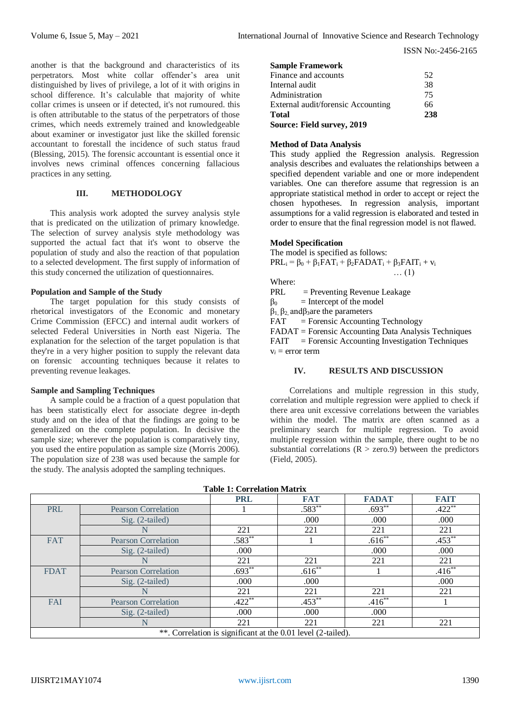another is that the background and characteristics of its perpetrators. Most white collar offender's area unit distinguished by lives of privilege, a lot of it with origins in school difference. It's calculable that majority of white collar crimes is unseen or if detected, it's not rumoured. this is often attributable to the status of the perpetrators of those crimes, which needs extremely trained and knowledgeable about examiner or investigator just like the skilled forensic accountant to forestall the incidence of such status fraud (Blessing, 2015). The forensic accountant is essential once it involves news criminal offences concerning fallacious practices in any setting.

# **III. METHODOLOGY**

This analysis work adopted the survey analysis style that is predicated on the utilization of primary knowledge. The selection of survey analysis style methodology was supported the actual fact that it's wont to observe the population of study and also the reaction of that population to a selected development. The first supply of information of this study concerned the utilization of questionnaires.

#### **Population and Sample of the Study**

The target population for this study consists of rhetorical investigators of the Economic and monetary Crime Commission (EFCC) and internal audit workers of selected Federal Universities in North east Nigeria. The explanation for the selection of the target population is that they're in a very higher position to supply the relevant data on forensic accounting techniques because it relates to preventing revenue leakages.

#### **Sample and Sampling Techniques**

A sample could be a fraction of a quest population that has been statistically elect for associate degree in-depth study and on the idea of that the findings are going to be generalized on the complete population. In decisive the sample size; wherever the population is comparatively tiny, you used the entire population as sample size (Morris 2006). The population size of 238 was used because the sample for the study. The analysis adopted the sampling techniques.

| <b>Sample Framework</b>            |     |
|------------------------------------|-----|
| Finance and accounts               | 52  |
| Internal audit                     | 38  |
| Administration                     | 75  |
| External audit/forensic Accounting | 66  |
| <b>Total</b>                       | 238 |
| Source: Field survey, 2019         |     |

# **Method of Data Analysis**

This study applied the Regression analysis. Regression analysis describes and evaluates the relationships between a specified dependent variable and one or more independent variables. One can therefore assume that regression is an appropriate statistical method in order to accept or reject the chosen hypotheses. In regression analysis, important assumptions for a valid regression is elaborated and tested in order to ensure that the final regression model is not flawed.

… (1)

# **Model Specification**

# The model is specified as follows:  $PRL_i = \beta_0 + \beta_1FAT_i + \beta_2FADAT_i + \beta_3FAIT_i + v_i$

Where:

PRL = Preventing Revenue Leakage

 $\beta_0$  = Intercept of the model

 $β<sub>1</sub>, β<sub>2</sub>, and β<sub>3</sub> are the parameters$ 

 $FAT = \text{Forensic}\text{}\text{Accounting Technology}$ 

FADAT = Forensic Accounting Data Analysis Techniques FAIT = Forensic Accounting Investigation Techniques  $v_i$  = error term

## **IV. RESULTS AND DISCUSSION**

Correlations and multiple regression in this study, correlation and multiple regression were applied to check if there area unit excessive correlations between the variables within the model. The matrix are often scanned as a preliminary search for multiple regression. To avoid multiple regression within the sample, there ought to be no substantial correlations  $(R > zero.9)$  between the predictors (Field, 2005).

|                                                              |                            | <b>PRL</b> | <b>FAT</b> | <b>FADAT</b> | <b>FAIT</b> |  |  |
|--------------------------------------------------------------|----------------------------|------------|------------|--------------|-------------|--|--|
| <b>PRL</b>                                                   | <b>Pearson Correlation</b> |            | $.583**$   | $.693**$     | $.422**$    |  |  |
|                                                              | Sig. (2-tailed)            |            | .000       | .000         | .000        |  |  |
|                                                              |                            | 221        | 221        | 221          | 221         |  |  |
| <b>FAT</b>                                                   | <b>Pearson Correlation</b> | $.583**$   |            | $.616**$     | $.453***$   |  |  |
|                                                              | Sig. (2-tailed)            | .000       |            | .000         | .000        |  |  |
|                                                              |                            | 221        | 221        | 221          | 221         |  |  |
| <b>FDAT</b>                                                  | <b>Pearson Correlation</b> | $.693***$  | $.616**$   |              | $.416**$    |  |  |
|                                                              | Sig. (2-tailed)            | .000       | .000       |              | .000        |  |  |
|                                                              |                            | 221        | 221        | 221          | 221         |  |  |
| <b>FAI</b>                                                   | <b>Pearson Correlation</b> | $.422**$   | $.453**$   | $.416**$     |             |  |  |
|                                                              | Sig. (2-tailed)            | .000       | .000       | .000         |             |  |  |
|                                                              | N                          | 221        | 221        | 221          | 221         |  |  |
| **. Correlation is significant at the 0.01 level (2-tailed). |                            |            |            |              |             |  |  |

#### **Table 1: Correlation Matrix**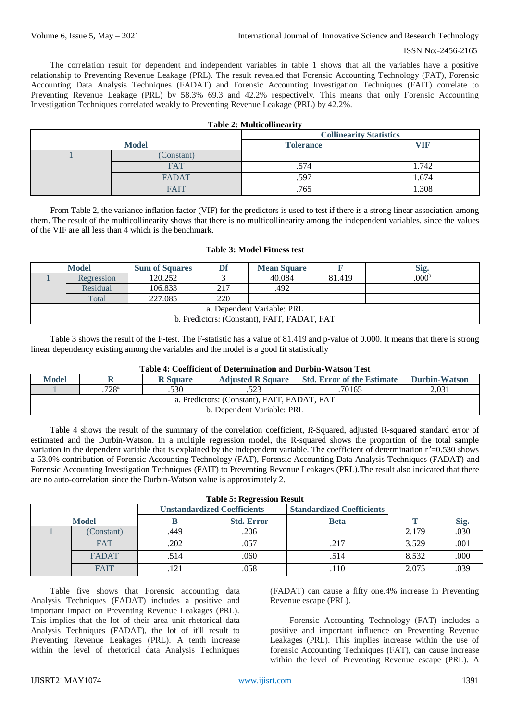The correlation result for dependent and independent variables in table 1 shows that all the variables have a positive relationship to Preventing Revenue Leakage (PRL). The result revealed that Forensic Accounting Technology (FAT), Forensic Accounting Data Analysis Techniques (FADAT) and Forensic Accounting Investigation Techniques (FAIT) correlate to Preventing Revenue Leakage (PRL) by 58.3% 69.3 and 42.2% respectively. This means that only Forensic Accounting Investigation Techniques correlated weakly to Preventing Revenue Leakage (PRL) by 42.2%.

| <b>Table 2: Multicollinearity</b> |                                |                  |       |  |  |
|-----------------------------------|--------------------------------|------------------|-------|--|--|
|                                   | <b>Collinearity Statistics</b> |                  |       |  |  |
|                                   | <b>Model</b>                   | <b>Tolerance</b> |       |  |  |
|                                   | (Constant)                     |                  |       |  |  |
|                                   | <b>FAT</b>                     | .574             | 1.742 |  |  |
|                                   | <b>FADAT</b>                   | .597             | 1.674 |  |  |
|                                   | <b>FAIT</b>                    | .765             | 1.308 |  |  |

From Table 2, the variance inflation factor (VIF) for the predictors is used to test if there is a strong linear association among them. The result of the multicollinearity shows that there is no multicollinearity among the independent variables, since the values of the VIF are all less than 4 which is the benchmark.

|  |  |  | <b>Table 3: Model Fitness test</b> |  |
|--|--|--|------------------------------------|--|
|--|--|--|------------------------------------|--|

|                                             | <b>Model</b> | <b>Sum of Squares</b> | Df  | <b>Mean Square</b> |        | Sig.              |
|---------------------------------------------|--------------|-----------------------|-----|--------------------|--------|-------------------|
|                                             | Regression   | 120.252               |     | 40.084             | 81.419 | .000 <sup>b</sup> |
|                                             | Residual     | 106.833               | 217 | .492               |        |                   |
|                                             | Total        | 227.085               | 220 |                    |        |                   |
| a. Dependent Variable: PRL                  |              |                       |     |                    |        |                   |
| b. Predictors: (Constant), FAIT, FADAT, FAT |              |                       |     |                    |        |                   |

Table 3 shows the result of the F-test. The F-statistic has a value of 81.419 and p-value of 0.000. It means that there is strong linear dependency existing among the variables and the model is a good fit statistically

|  | Table 4: Coefficient of Determination and Durbin-Watson Test |
|--|--------------------------------------------------------------|
|--|--------------------------------------------------------------|

| <b>Model</b>                                |        | <b>R</b> Square | <b>Adjusted R Square</b> | <b>Std. Error of the Estimate I</b> | <b>Durbin-Watson</b> |  |  |
|---------------------------------------------|--------|-----------------|--------------------------|-------------------------------------|----------------------|--|--|
|                                             | .70165 | 2.031           |                          |                                     |                      |  |  |
| a. Predictors: (Constant), FAIT, FADAT, FAT |        |                 |                          |                                     |                      |  |  |
| b. Dependent Variable: PRL                  |        |                 |                          |                                     |                      |  |  |

Table 4 shows the result of the summary of the correlation coefficient, *R*-Squared, adjusted R-squared standard error of estimated and the Durbin-Watson. In a multiple regression model, the R-squared shows the proportion of the total sample variation in the dependent variable that is explained by the independent variable. The coefficient of determination  $r^2=0.530$  shows a 53.0% contribution of Forensic Accounting Technology (FAT), Forensic Accounting Data Analysis Techniques (FADAT) and Forensic Accounting Investigation Techniques (FAIT) to Preventing Revenue Leakages (PRL).The result also indicated that there are no auto-correlation since the Durbin-Watson value is approximately 2.

|  | <b>Table 5: Regression Result</b> |  |
|--|-----------------------------------|--|
|--|-----------------------------------|--|

|              |              | <b>Unstandardized Coefficients</b> |                   | <b>Standardized Coefficients</b> |       |      |
|--------------|--------------|------------------------------------|-------------------|----------------------------------|-------|------|
| <b>Model</b> |              |                                    | <b>Std. Error</b> | <b>Beta</b>                      |       | Sig. |
|              | (Constant)   | .449                               | .206              |                                  | 2.179 | 030  |
|              | <b>FAT</b>   | .202                               | .057              | .217                             | 3.529 | .001 |
|              | <b>FADAT</b> | 514                                | .060              | .514                             | 8.532 | 000  |
|              | <b>FAIT</b>  | 121                                | .058              | 110                              | 2.075 | 039  |

Table five shows that Forensic accounting data Analysis Techniques (FADAT) includes a positive and important impact on Preventing Revenue Leakages (PRL). This implies that the lot of their area unit rhetorical data Analysis Techniques (FADAT), the lot of it'll result to Preventing Revenue Leakages (PRL). A tenth increase within the level of rhetorical data Analysis Techniques (FADAT) can cause a fifty one.4% increase in Preventing Revenue escape (PRL).

Forensic Accounting Technology (FAT) includes a positive and important influence on Preventing Revenue Leakages (PRL). This implies increase within the use of forensic Accounting Techniques (FAT), can cause increase within the level of Preventing Revenue escape (PRL). A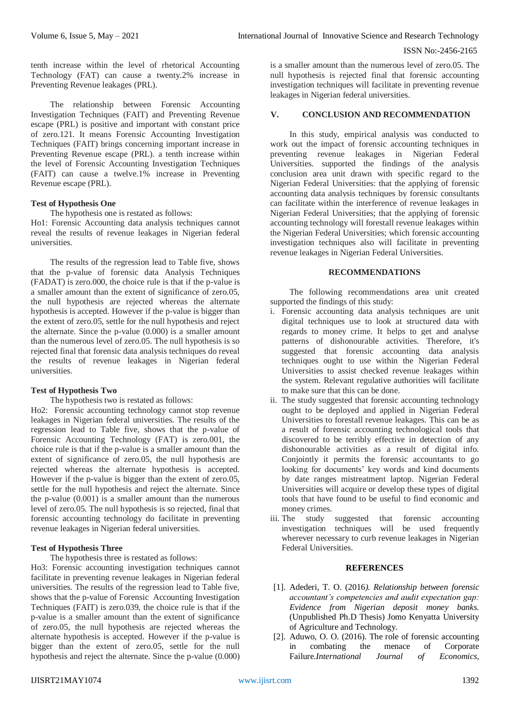tenth increase within the level of rhetorical Accounting Technology (FAT) can cause a twenty.2% increase in Preventing Revenue leakages (PRL).

The relationship between Forensic Accounting Investigation Techniques (FAIT) and Preventing Revenue escape (PRL) is positive and important with constant price of zero.121. It means Forensic Accounting Investigation Techniques (FAIT) brings concerning important increase in Preventing Revenue escape (PRL). a tenth increase within the level of Forensic Accounting Investigation Techniques (FAIT) can cause a twelve.1% increase in Preventing Revenue escape (PRL).

# **Test of Hypothesis One**

The hypothesis one is restated as follows:

Ho1: Forensic Accounting data analysis techniques cannot reveal the results of revenue leakages in Nigerian federal universities.

The results of the regression lead to Table five, shows that the p-value of forensic data Analysis Techniques (FADAT) is zero.000, the choice rule is that if the p-value is a smaller amount than the extent of significance of zero.05, the null hypothesis are rejected whereas the alternate hypothesis is accepted. However if the p-value is bigger than the extent of zero.05, settle for the null hypothesis and reject the alternate. Since the p-value (0.000) is a smaller amount than the numerous level of zero.05. The null hypothesis is so rejected final that forensic data analysis techniques do reveal the results of revenue leakages in Nigerian federal universities.

# **Test of Hypothesis Two**

The hypothesis two is restated as follows:

Ho2: Forensic accounting technology cannot stop revenue leakages in Nigerian federal universities. The results of the regression lead to Table five, shows that the p-value of Forensic Accounting Technology (FAT) is zero.001, the choice rule is that if the p-value is a smaller amount than the extent of significance of zero.05, the null hypothesis are rejected whereas the alternate hypothesis is accepted. However if the p-value is bigger than the extent of zero.05, settle for the null hypothesis and reject the alternate. Since the p-value (0.001) is a smaller amount than the numerous level of zero.05. The null hypothesis is so rejected, final that forensic accounting technology do facilitate in preventing revenue leakages in Nigerian federal universities.

# **Test of Hypothesis Three**

The hypothesis three is restated as follows:

Ho3: Forensic accounting investigation techniques cannot facilitate in preventing revenue leakages in Nigerian federal universities. The results of the regression lead to Table five, shows that the p-value of Forensic Accounting Investigation Techniques (FAIT) is zero.039, the choice rule is that if the p-value is a smaller amount than the extent of significance of zero.05, the null hypothesis are rejected whereas the alternate hypothesis is accepted. However if the p-value is bigger than the extent of zero.05, settle for the null hypothesis and reject the alternate. Since the p-value (0.000)

is a smaller amount than the numerous level of zero.05. The null hypothesis is rejected final that forensic accounting investigation techniques will facilitate in preventing revenue leakages in Nigerian federal universities.

#### **V. CONCLUSION AND RECOMMENDATION**

In this study, empirical analysis was conducted to work out the impact of forensic accounting techniques in preventing revenue leakages in Nigerian Federal Universities. supported the findings of the analysis conclusion area unit drawn with specific regard to the Nigerian Federal Universities: that the applying of forensic accounting data analysis techniques by forensic consultants can facilitate within the interference of revenue leakages in Nigerian Federal Universities; that the applying of forensic accounting technology will forestall revenue leakages within the Nigerian Federal Universities; which forensic accounting investigation techniques also will facilitate in preventing revenue leakages in Nigerian Federal Universities.

## **RECOMMENDATIONS**

The following recommendations area unit created supported the findings of this study:

- i. Forensic accounting data analysis techniques are unit digital techniques use to look at structured data with regards to money crime. It helps to get and analyse patterns of dishonourable activities. Therefore, it's suggested that forensic accounting data analysis techniques ought to use within the Nigerian Federal Universities to assist checked revenue leakages within the system. Relevant regulative authorities will facilitate to make sure that this can be done.
- ii. The study suggested that forensic accounting technology ought to be deployed and applied in Nigerian Federal Universities to forestall revenue leakages. This can be as a result of forensic accounting technological tools that discovered to be terribly effective in detection of any dishonourable activities as a result of digital info. Conjointly it permits the forensic accountants to go looking for documents' key words and kind documents by date ranges mistreatment laptop. Nigerian Federal Universities will acquire or develop these types of digital tools that have found to be useful to find economic and money crimes.
- iii. The study suggested that forensic accounting investigation techniques will be used frequently wherever necessary to curb revenue leakages in Nigerian Federal Universities.

## **REFERENCES**

- [1]. Adederi, T. O. (2016*). Relationship between forensic accountant's competencies and audit expectation gap: Evidence from Nigerian deposit money banks.* (Unpublished Ph.D Thesis) Jomo Kenyatta University of Agriculture and Technology.
- [2]. Aduwo, O. O. (2016). The role of forensic accounting in combating the menace of Corporate Failure.*International Journal of Economics,*